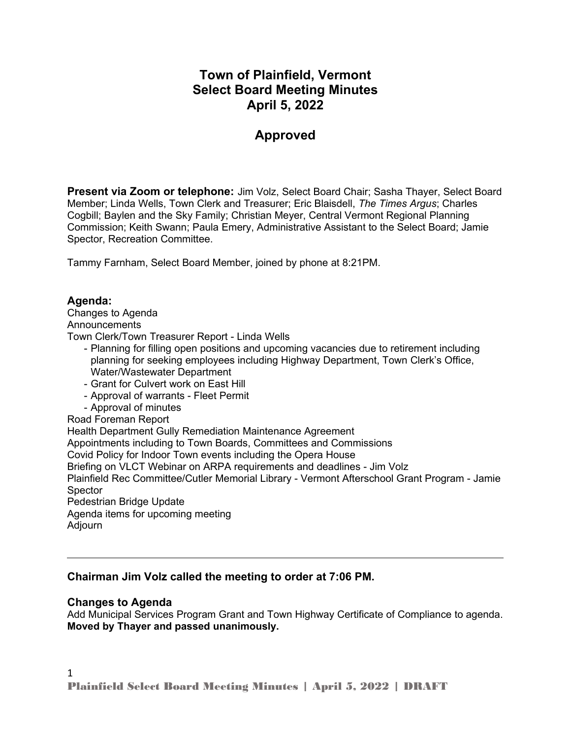# **Town of Plainfield, Vermont Select Board Meeting Minutes April 5, 2022**

# **Approved**

**Present via Zoom or telephone:** Jim Volz, Select Board Chair; Sasha Thayer, Select Board Member; Linda Wells, Town Clerk and Treasurer; Eric Blaisdell, *The Times Argus*; Charles Cogbill; Baylen and the Sky Family; Christian Meyer, Central Vermont Regional Planning Commission; Keith Swann; Paula Emery, Administrative Assistant to the Select Board; Jamie Spector, Recreation Committee.

Tammy Farnham, Select Board Member, joined by phone at 8:21PM.

## **Agenda:**

Changes to Agenda **Announcements** 

Town Clerk/Town Treasurer Report - Linda Wells

- Planning for filling open positions and upcoming vacancies due to retirement including planning for seeking employees including Highway Department, Town Clerk's Office, Water/Wastewater Department
- Grant for Culvert work on East Hill
- Approval of warrants Fleet Permit
- Approval of minutes

#### Road Foreman Report

Health Department Gully Remediation Maintenance Agreement Appointments including to Town Boards, Committees and Commissions Covid Policy for Indoor Town events including the Opera House Briefing on VLCT Webinar on ARPA requirements and deadlines - Jim Volz Plainfield Rec Committee/Cutler Memorial Library - Vermont Afterschool Grant Program - Jamie **Spector** Pedestrian Bridge Update Agenda items for upcoming meeting Adjourn

### **Chairman Jim Volz called the meeting to order at 7:06 PM.**

### **Changes to Agenda**

Add Municipal Services Program Grant and Town Highway Certificate of Compliance to agenda. **Moved by Thayer and passed unanimously.**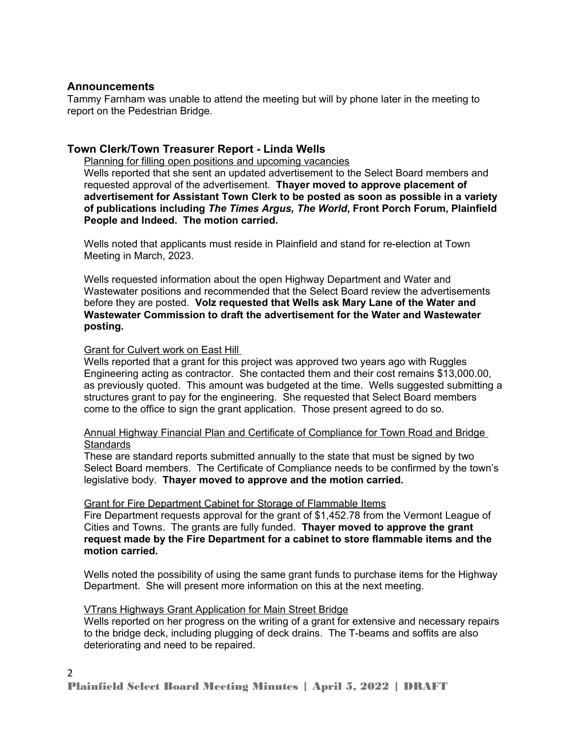## **Announcements**

Tammy Farnham was unable to attend the meeting but will by phone later in the meeting to report on the Pedestrian Bridge.

## **Town Clerk/Town Treasurer Report - Linda Wells**

Planning for filling open positions and upcoming vacancies Wells reported that she sent an updated advertisement to the Select Board members and requested approval of the advertisement. **Thayer moved to approve placement of advertisement for Assistant Town Clerk to be posted as soon as possible in a variety of publications including** *The Times Argus, The World***, Front Porch Forum, Plainfield People and Indeed. The motion carried.**

Wells noted that applicants must reside in Plainfield and stand for re-election at Town Meeting in March, 2023.

Wells requested information about the open Highway Department and Water and Wastewater positions and recommended that the Select Board review the advertisements before they are posted. **Volz requested that Wells ask Mary Lane of the Water and Wastewater Commission to draft the advertisement for the Water and Wastewater posting.** 

## Grant for Culvert work on East Hill

Wells reported that a grant for this project was approved two years ago with Ruggles Engineering acting as contractor. She contacted them and their cost remains \$13,000.00, as previously quoted. This amount was budgeted at the time. Wells suggested submitting a structures grant to pay for the engineering. She requested that Select Board members come to the office to sign the grant application. Those present agreed to do so.

Annual Highway Financial Plan and Certificate of Compliance for Town Road and Bridge **Standards** 

These are standard reports submitted annually to the state that must be signed by two Select Board members. The Certificate of Compliance needs to be confirmed by the town's legislative body. **Thayer moved to approve and the motion carried.** 

### Grant for Fire Department Cabinet for Storage of Flammable Items

Fire Department requests approval for the grant of \$1,452.78 from the Vermont League of Cities and Towns. The grants are fully funded. **Thayer moved to approve the grant request made by the Fire Department for a cabinet to store flammable items and the motion carried.** 

Wells noted the possibility of using the same grant funds to purchase items for the Highway Department. She will present more information on this at the next meeting.

### VTrans Highways Grant Application for Main Street Bridge

Wells reported on her progress on the writing of a grant for extensive and necessary repairs to the bridge deck, including plugging of deck drains. The T-beams and soffits are also deteriorating and need to be repaired.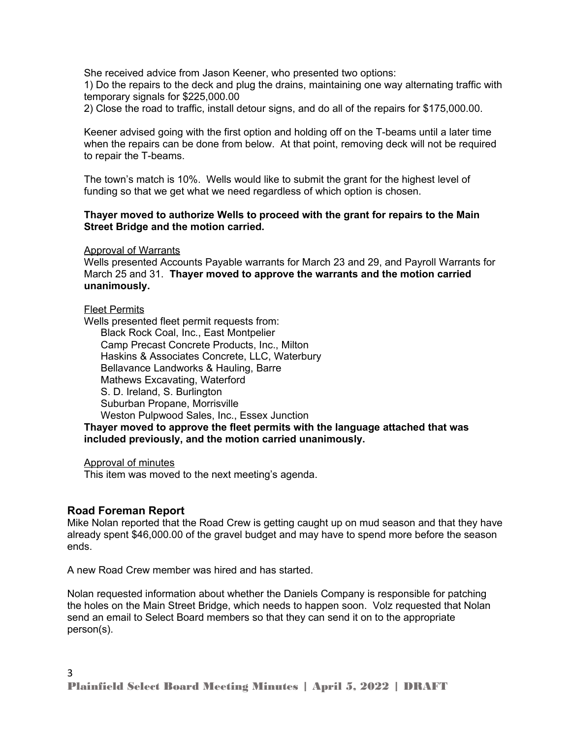She received advice from Jason Keener, who presented two options:

1) Do the repairs to the deck and plug the drains, maintaining one way alternating traffic with temporary signals for \$225,000.00

2) Close the road to traffic, install detour signs, and do all of the repairs for \$175,000.00.

Keener advised going with the first option and holding off on the T-beams until a later time when the repairs can be done from below. At that point, removing deck will not be required to repair the T-beams.

The town's match is 10%. Wells would like to submit the grant for the highest level of funding so that we get what we need regardless of which option is chosen.

#### **Thayer moved to authorize Wells to proceed with the grant for repairs to the Main Street Bridge and the motion carried.**

Approval of Warrants

Wells presented Accounts Payable warrants for March 23 and 29, and Payroll Warrants for March 25 and 31. **Thayer moved to approve the warrants and the motion carried unanimously.**

Fleet Permits

Wells presented fleet permit requests from: Black Rock Coal, Inc., East Montpelier Camp Precast Concrete Products, Inc., Milton Haskins & Associates Concrete, LLC, Waterbury Bellavance Landworks & Hauling, Barre Mathews Excavating, Waterford S. D. Ireland, S. Burlington Suburban Propane, Morrisville Weston Pulpwood Sales, Inc., Essex Junction

**Thayer moved to approve the fleet permits with the language attached that was included previously, and the motion carried unanimously.** 

Approval of minutes

This item was moved to the next meeting's agenda.

#### **Road Foreman Report**

Mike Nolan reported that the Road Crew is getting caught up on mud season and that they have already spent \$46,000.00 of the gravel budget and may have to spend more before the season ends.

A new Road Crew member was hired and has started.

Nolan requested information about whether the Daniels Company is responsible for patching the holes on the Main Street Bridge, which needs to happen soon. Volz requested that Nolan send an email to Select Board members so that they can send it on to the appropriate person(s).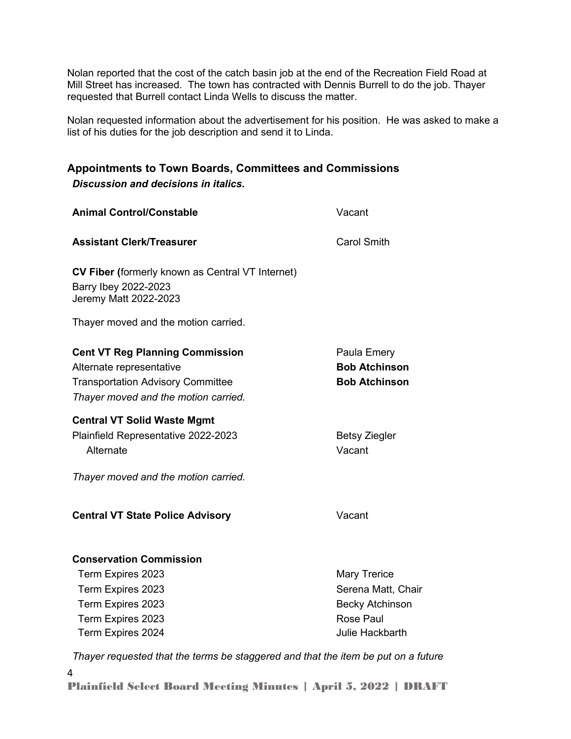Nolan reported that the cost of the catch basin job at the end of the Recreation Field Road at Mill Street has increased. The town has contracted with Dennis Burrell to do the job. Thayer requested that Burrell contact Linda Wells to discuss the matter.

Nolan requested information about the advertisement for his position. He was asked to make a list of his duties for the job description and send it to Linda.

## **Appointments to Town Boards, Committees and Commissions** *Discussion and decisions in italics.*

| <b>Animal Control/Constable</b>                                                                                                                        | Vacant                                                                           |
|--------------------------------------------------------------------------------------------------------------------------------------------------------|----------------------------------------------------------------------------------|
| <b>Assistant Clerk/Treasurer</b>                                                                                                                       | <b>Carol Smith</b>                                                               |
| <b>CV Fiber (formerly known as Central VT Internet)</b><br>Barry Ibey 2022-2023<br>Jeremy Matt 2022-2023                                               |                                                                                  |
| Thayer moved and the motion carried.                                                                                                                   |                                                                                  |
| <b>Cent VT Reg Planning Commission</b><br>Alternate representative<br><b>Transportation Advisory Committee</b><br>Thayer moved and the motion carried. | Paula Emery<br><b>Bob Atchinson</b><br><b>Bob Atchinson</b>                      |
| <b>Central VT Solid Waste Mgmt</b><br>Plainfield Representative 2022-2023<br>Alternate                                                                 | <b>Betsy Ziegler</b><br>Vacant                                                   |
| Thayer moved and the motion carried.                                                                                                                   |                                                                                  |
| <b>Central VT State Police Advisory</b>                                                                                                                | Vacant                                                                           |
| <b>Conservation Commission</b><br>Term Expires 2023<br>Term Expires 2023<br>Term Expires 2023<br>Term Expires 2023                                     | <b>Mary Trerice</b><br>Serena Matt, Chair<br><b>Becky Atchinson</b><br>Rose Paul |
| Term Expires 2024                                                                                                                                      | Julie Hackbarth                                                                  |
| Thayer requested that the terms be staggered and that the item be put on a future                                                                      |                                                                                  |

4 Plainfield Select Board Meeting Minutes | April 5, 2022 | DRAFT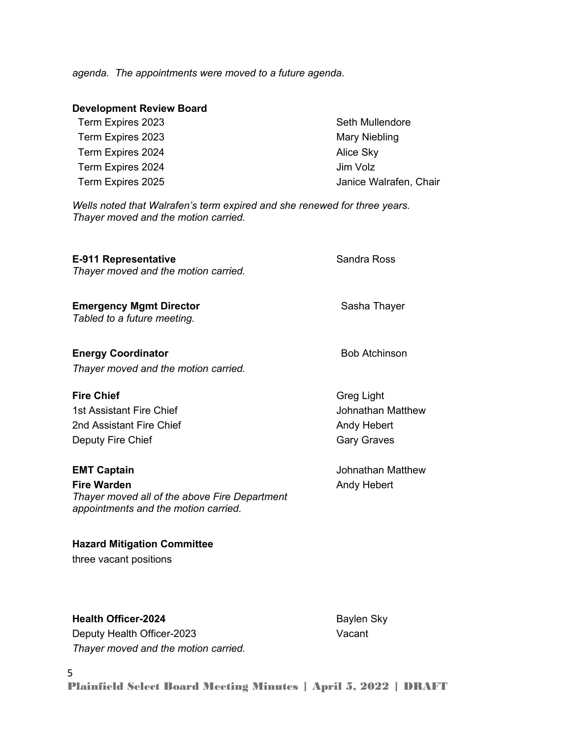*agenda. The appointments were moved to a future agenda.* 

| <b>Development Review Board</b> |                        |
|---------------------------------|------------------------|
| Term Expires 2023               | Seth Mullendore        |
| Term Expires 2023               | Mary Niebling          |
| Term Expires 2024               | Alice Sky              |
| Term Expires 2024               | Jim Volz               |
| Term Expires 2025               | Janice Walrafen, Chair |

*Wells noted that Walrafen's term expired and she renewed for three years. Thayer moved and the motion carried.*

## **E-911 Representative Sandra Ross** Sandra Ross

*Thayer moved and the motion carried.*

**Emergency Mgmt Director Sasha Thayer** Sasha Thayer *Tabled to a future meeting.*

**Energy Coordinator Bob Atchinson** *Thayer moved and the motion carried.*

1st Assistant Fire Chief **All and Taylor Structure 1st Assistant Fire Chief** 2nd Assistant Fire Chief Andy Hebert Andy Hebert Deputy Fire Chief Gary Graves

5

**Fire Warden Andy Hebert Andy Hebert** *Thayer moved all of the above Fire Department appointments and the motion carried.*

**Hazard Mitigation Committee**  three vacant positions

**Health Officer-2024** Baylen Sky Deputy Health Officer-2023 Vacant *Thayer moved and the motion carried.*

**Fire Chief** Greg Light

**EMT Captain** Johnathan Matthew

Plainfield Select Board Meeting Minutes | April 5, 2022 | DRAFT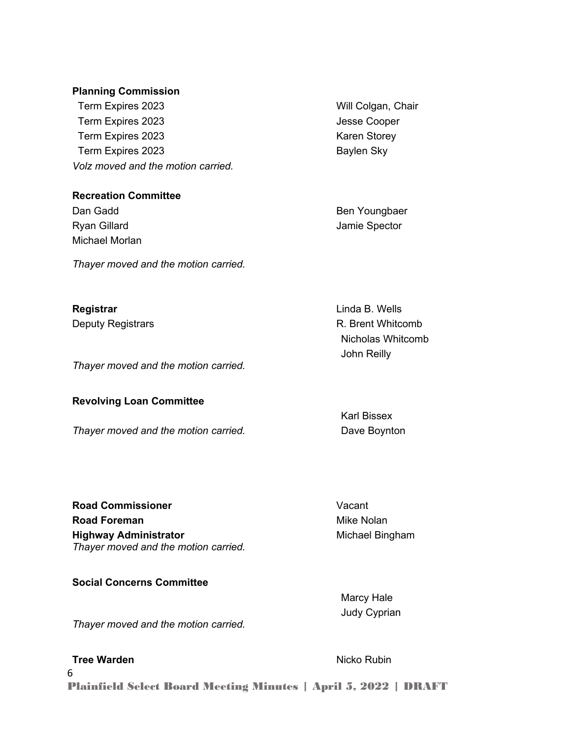#### **Planning Commission**

 Term Expires 2023 Will Colgan, Chair Term Expires 2023 Jesse Cooper Term Expires 2023 Karen Storey Term Expires 2023 **Baylen Sky** *Volz moved and the motion carried.*

#### **Recreation Committee**

Ryan Gillard **Allah Accord Contract Contract Contract Contract Contract Contract Contract Contract Contract Contract Contract Contract Contract Contract Contract Contract Contract Contract Contract Contract Contract Contra** Michael Morlan

*Thayer moved and the motion carried.*

**Registrar Contrary Contrary Contrary Contrary Contrary Contrary Contrary Contrary Contrary Contrary Contrary Contrary Contrary Contrary Contrary Contrary Contrary Contrary Contrary Contrary Contrary Contrary Contrary Co** 

*Thayer moved and the motion carried.*

### **Revolving Loan Committee**

*Thayer moved and the motion carried.* Thay **Dave Boynton** 

**Road Commissioner** Vacant **Road Foreman** Mike Nolan **Highway Administrator** Michael Bingham *Thayer moved and the motion carried.*

## **Social Concerns Committee**

*Thayer moved and the motion carried.*

### **Tree Warden** Nicko Rubin

6

Plainfield Select Board Meeting Minutes | April 5, 2022 | DRAFT

Dan Gadd **Ben Youngbaer** 

Deputy Registrars **R. Brent Whitcomb** Nicholas Whitcomb John Reilly

Karl Bissex

Marcy Hale Judy Cyprian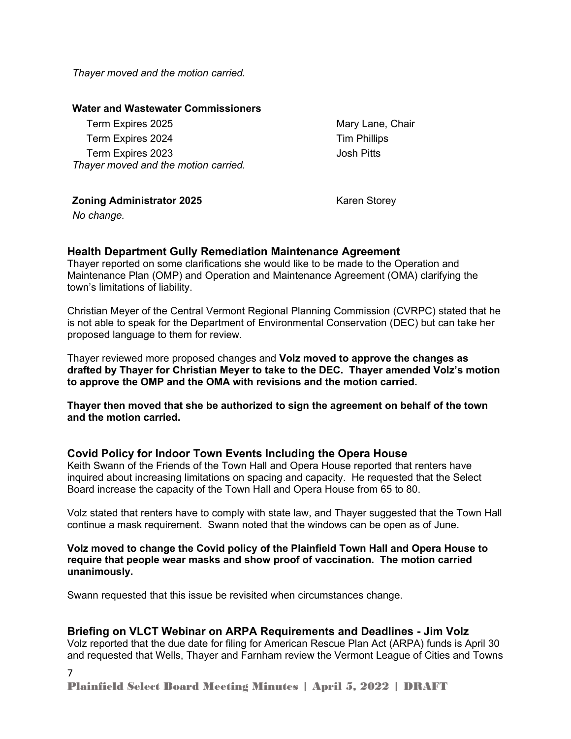*Thayer moved and the motion carried.*

#### **Water and Wastewater Commissioners**

Term Expires 2025 Mary Lane, Chair Term Expires 2024 Term Phillips Term Expires 2023 Josh Pitts *Thayer moved and the motion carried.*

**Zoning Administrator 2025** Karen Storey

*No change.*

## **Health Department Gully Remediation Maintenance Agreement**

Thayer reported on some clarifications she would like to be made to the Operation and Maintenance Plan (OMP) and Operation and Maintenance Agreement (OMA) clarifying the town's limitations of liability.

Christian Meyer of the Central Vermont Regional Planning Commission (CVRPC) stated that he is not able to speak for the Department of Environmental Conservation (DEC) but can take her proposed language to them for review.

Thayer reviewed more proposed changes and **Volz moved to approve the changes as drafted by Thayer for Christian Meyer to take to the DEC. Thayer amended Volz's motion to approve the OMP and the OMA with revisions and the motion carried.** 

**Thayer then moved that she be authorized to sign the agreement on behalf of the town and the motion carried.** 

## **Covid Policy for Indoor Town Events Including the Opera House**

Keith Swann of the Friends of the Town Hall and Opera House reported that renters have inquired about increasing limitations on spacing and capacity. He requested that the Select Board increase the capacity of the Town Hall and Opera House from 65 to 80.

Volz stated that renters have to comply with state law, and Thayer suggested that the Town Hall continue a mask requirement. Swann noted that the windows can be open as of June.

#### **Volz moved to change the Covid policy of the Plainfield Town Hall and Opera House to require that people wear masks and show proof of vaccination. The motion carried unanimously.**

Swann requested that this issue be revisited when circumstances change.

## **Briefing on VLCT Webinar on ARPA Requirements and Deadlines - Jim Volz**

Volz reported that the due date for filing for American Rescue Plan Act (ARPA) funds is April 30 and requested that Wells, Thayer and Farnham review the Vermont League of Cities and Towns

7

Plainfield Select Board Meeting Minutes | April 5, 2022 | DRAFT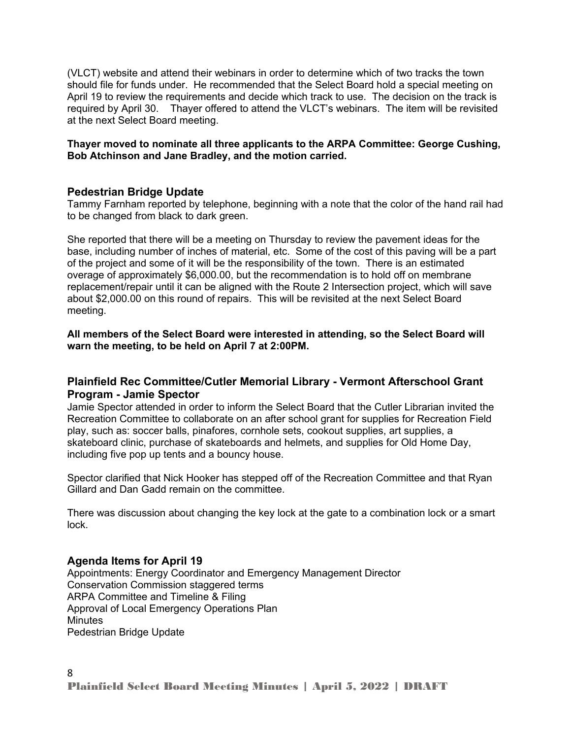(VLCT) website and attend their webinars in order to determine which of two tracks the town should file for funds under. He recommended that the Select Board hold a special meeting on April 19 to review the requirements and decide which track to use. The decision on the track is required by April 30. Thayer offered to attend the VLCT's webinars. The item will be revisited at the next Select Board meeting.

#### **Thayer moved to nominate all three applicants to the ARPA Committee: George Cushing, Bob Atchinson and Jane Bradley, and the motion carried.**

## **Pedestrian Bridge Update**

Tammy Farnham reported by telephone, beginning with a note that the color of the hand rail had to be changed from black to dark green.

She reported that there will be a meeting on Thursday to review the pavement ideas for the base, including number of inches of material, etc. Some of the cost of this paving will be a part of the project and some of it will be the responsibility of the town. There is an estimated overage of approximately \$6,000.00, but the recommendation is to hold off on membrane replacement/repair until it can be aligned with the Route 2 Intersection project, which will save about \$2,000.00 on this round of repairs. This will be revisited at the next Select Board meeting.

**All members of the Select Board were interested in attending, so the Select Board will warn the meeting, to be held on April 7 at 2:00PM.**

## **Plainfield Rec Committee/Cutler Memorial Library - Vermont Afterschool Grant Program - Jamie Spector**

Jamie Spector attended in order to inform the Select Board that the Cutler Librarian invited the Recreation Committee to collaborate on an after school grant for supplies for Recreation Field play, such as: soccer balls, pinafores, cornhole sets, cookout supplies, art supplies, a skateboard clinic, purchase of skateboards and helmets, and supplies for Old Home Day, including five pop up tents and a bouncy house.

Spector clarified that Nick Hooker has stepped off of the Recreation Committee and that Ryan Gillard and Dan Gadd remain on the committee.

There was discussion about changing the key lock at the gate to a combination lock or a smart lock.

### **Agenda Items for April 19**

Appointments: Energy Coordinator and Emergency Management Director Conservation Commission staggered terms ARPA Committee and Timeline & Filing Approval of Local Emergency Operations Plan **Minutes** Pedestrian Bridge Update